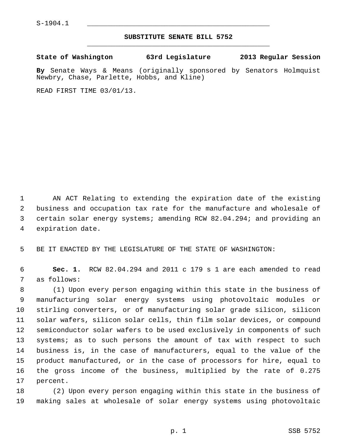## **SUBSTITUTE SENATE BILL 5752** \_\_\_\_\_\_\_\_\_\_\_\_\_\_\_\_\_\_\_\_\_\_\_\_\_\_\_\_\_\_\_\_\_\_\_\_\_\_\_\_\_\_\_\_\_

**State of Washington 63rd Legislature 2013 Regular Session**

**By** Senate Ways & Means (originally sponsored by Senators Holmquist Newbry, Chase, Parlette, Hobbs, and Kline)

READ FIRST TIME 03/01/13.

 1 AN ACT Relating to extending the expiration date of the existing 2 business and occupation tax rate for the manufacture and wholesale of 3 certain solar energy systems; amending RCW 82.04.294; and providing an 4 expiration date.

5 BE IT ENACTED BY THE LEGISLATURE OF THE STATE OF WASHINGTON:

 6 **Sec. 1.** RCW 82.04.294 and 2011 c 179 s 1 are each amended to read 7 as follows:

 8 (1) Upon every person engaging within this state in the business of 9 manufacturing solar energy systems using photovoltaic modules or 10 stirling converters, or of manufacturing solar grade silicon, silicon 11 solar wafers, silicon solar cells, thin film solar devices, or compound 12 semiconductor solar wafers to be used exclusively in components of such 13 systems; as to such persons the amount of tax with respect to such 14 business is, in the case of manufacturers, equal to the value of the 15 product manufactured, or in the case of processors for hire, equal to 16 the gross income of the business, multiplied by the rate of 0.275 17 percent.

18 (2) Upon every person engaging within this state in the business of 19 making sales at wholesale of solar energy systems using photovoltaic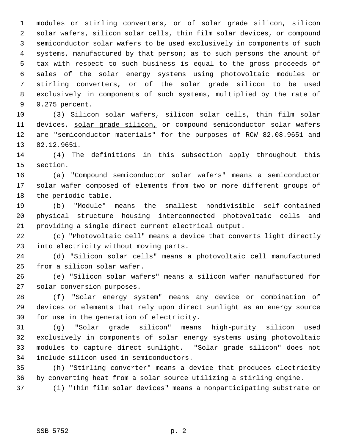1 modules or stirling converters, or of solar grade silicon, silicon 2 solar wafers, silicon solar cells, thin film solar devices, or compound 3 semiconductor solar wafers to be used exclusively in components of such 4 systems, manufactured by that person; as to such persons the amount of 5 tax with respect to such business is equal to the gross proceeds of 6 sales of the solar energy systems using photovoltaic modules or 7 stirling converters, or of the solar grade silicon to be used 8 exclusively in components of such systems, multiplied by the rate of 9 0.275 percent.

10 (3) Silicon solar wafers, silicon solar cells, thin film solar 11 devices, solar grade silicon, or compound semiconductor solar wafers 12 are "semiconductor materials" for the purposes of RCW 82.08.9651 and 13 82.12.9651.

14 (4) The definitions in this subsection apply throughout this 15 section.

16 (a) "Compound semiconductor solar wafers" means a semiconductor 17 solar wafer composed of elements from two or more different groups of 18 the periodic table.

19 (b) "Module" means the smallest nondivisible self-contained 20 physical structure housing interconnected photovoltaic cells and 21 providing a single direct current electrical output.

22 (c) "Photovoltaic cell" means a device that converts light directly 23 into electricity without moving parts.

24 (d) "Silicon solar cells" means a photovoltaic cell manufactured 25 from a silicon solar wafer.

26 (e) "Silicon solar wafers" means a silicon wafer manufactured for 27 solar conversion purposes.

28 (f) "Solar energy system" means any device or combination of 29 devices or elements that rely upon direct sunlight as an energy source 30 for use in the generation of electricity.

31 (g) "Solar grade silicon" means high-purity silicon used 32 exclusively in components of solar energy systems using photovoltaic 33 modules to capture direct sunlight. "Solar grade silicon" does not 34 include silicon used in semiconductors.

35 (h) "Stirling converter" means a device that produces electricity 36 by converting heat from a solar source utilizing a stirling engine.

37 (i) "Thin film solar devices" means a nonparticipating substrate on